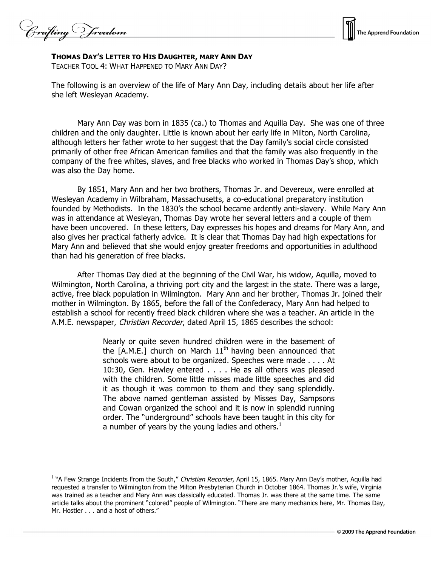Crafting V reedom



**THOMAS DAY'S LETTER TO HIS DAUGHTER, MARY ANN DAY**

TEACHER TOOL 4: WHAT HAPPENED TO MARY ANN DAY?

The following is an overview of the life of Mary Ann Day, including details about her life after she left Wesleyan Academy.

Mary Ann Day was born in 1835 (ca.) to Thomas and Aquilla Day. She was one of three children and the only daughter. Little is known about her early life in Milton, North Carolina, although letters her father wrote to her suggest that the Day family's social circle consisted primarily of other free African American families and that the family was also frequently in the company of the free whites, slaves, and free blacks who worked in Thomas Day's shop, which was also the Day home.

By 1851, Mary Ann and her two brothers, Thomas Jr. and Devereux, were enrolled at Wesleyan Academy in Wilbraham, Massachusetts, a co-educational preparatory institution founded by Methodists. In the 1830's the school became ardently anti-slavery. While Mary Ann was in attendance at Wesleyan, Thomas Day wrote her several letters and a couple of them have been uncovered. In these letters, Day expresses his hopes and dreams for Mary Ann, and also gives her practical fatherly advice. It is clear that Thomas Day had high expectations for Mary Ann and believed that she would enjoy greater freedoms and opportunities in adulthood than had his generation of free blacks.

After Thomas Day died at the beginning of the Civil War, his widow, Aquilla, moved to Wilmington, North Carolina, a thriving port city and the largest in the state. There was a large, active, free black population in Wilmington. Mary Ann and her brother, Thomas Jr. joined their mother in Wilmington. By 1865, before the fall of the Confederacy, Mary Ann had helped to establish a school for recently freed black children where she was a teacher. An article in the A.M.E. newspaper, Christian Recorder, dated April 15, 1865 describes the school:

> Nearly or quite seven hundred children were in the basement of the  $[A.M.E.]$  church on March  $11<sup>th</sup>$  having been announced that schools were about to be organized. Speeches were made . . . . At 10:30, Gen. Hawley entered . . . . He as all others was pleased with the children. Some little misses made little speeches and did it as though it was common to them and they sang splendidly. The above named gentleman assisted by Misses Day, Sampsons and Cowan organized the school and it is now in splendid running order. The "underground" schools have been taught in this city for a number of years by the young ladies and others. $<sup>1</sup>$ </sup>

<sup>&</sup>lt;sup>1</sup> "A Few Strange Incidents From the South," Christian Recorder, April 15, 1865. Mary Ann Day's mother, Aquilla had requested a transfer to Wilmington from the Milton Presbyterian Church in October 1864. Thomas Jr.'s wife, Virginia was trained as a teacher and Mary Ann was classically educated. Thomas Jr. was there at the same time. The same article talks about the prominent "colored" people of Wilmington. "There are many mechanics here, Mr. Thomas Day, Mr. Hostler . . . and a host of others."